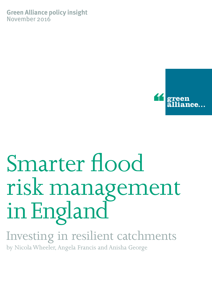**Green Alliance policy insight** November 2016



# Smarter flood risk management in England

## Investing in resilient catchments

by Nicola Wheeler, Angela Francis and Anisha George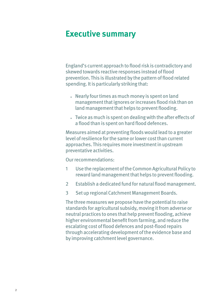## **Executive summary**

England's current approach to flood risk is contradictory and skewed towards reactive responses instead of flood prevention. This is illustrated by the pattern of flood related spending. It is particularly striking that:

- Nearly four times as much money is spent on land management that ignores or increases flood risk than on land management that helps to prevent flooding.
- Twice as much is spent on dealing with the after effects of a flood than is spent on hard flood defences.

Measures aimed at preventing floods would lead to a greater level of resilience for the same or lower cost than current approaches. This requires more investment in upstream preventative activities.

Our recommendations:

- 1 Use the replacement of the Common Agricultural Policy to reward land management that helps to prevent flooding.
- 2 Establish a dedicated fund for natural flood management.
- 3 Set up regional Catchment Management Boards.

The three measures we propose have the potential to raise standards for agricultural subsidy, moving it from adverse or neutral practices to ones that help prevent flooding, achieve higher environmental benefit from farming, and reduce the escalating cost of flood defences and post-flood repairs through accelerating development of the evidence base and by improving catchment level governance.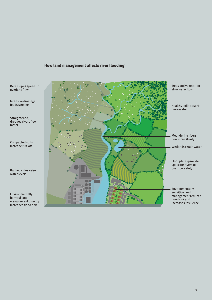

#### **How land management affects river flooding**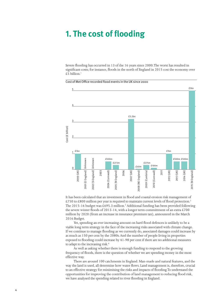## **1. The cost of flooding**

Severe flooding has occurred in 13 of the 16 years since 2000. The worst has resulted in significant costs; for instance, floods in the north of England in 2015 cost the economy over £5 billion. $1$ 

Cost of Met Office recorded flood events in the UK since 2000



It has been calculated that an investment in flood and coastal erosion risk management of £750 to £800 million per year is required to maintain current levels of flood protection.<sup>2</sup> The 2015-16 budget was £695.3 million.<sup>3</sup> Additional funding has been provided following the severe winter floods of 2013-14, with a longer term committment of an extra  $\text{\pounds}700$ million by 2020 (from an increase in insurance premium tax), announced in the March 2016 Budget.

Yet, spending an ever increasing amount on hard flood defences is unlikely to be a viable long term strategy in the face of the increasing risks associated with climate change. If we continue to manage flooding as we currently do, associated damages could increase by as much as 150 per cent by the 2080s. And the number of people living in properties exposed to flooding could increase by 41-98 per cent if there are no additional measures to adapt to the increasing risk.<sup>4</sup>

As well as asking whether there is enough funding to respond to the growing frequency of floods, there is the question of whether we are spending money in the most effective way.

There are around 100 catchments in England. Man-made and natural features, and the way the land is used, all determine how water flows. Land management is, therefore, crucial to an effective strategy for minimising the risks and impacts of flooding. To understand the opportunities for improving the contribution of land management to reducing flood risk, we have analysed the spending related to river flooding in England.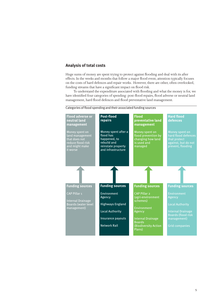#### **Analysis of total costs**

Huge sums of money are spent trying to protect against flooding and deal with its after effects. In the weeks and months that follow a major flood event, attention typically focuses on the costs of hard defences and repair works. However, there are other, often overlooked, funding streams that have a significant impact on flood risk.

To understand the expenditure associated with flooding and what the money is for, we have identified four categories of spending: post-flood repairs, flood adverse or neutral land management, hard flood defences and flood preventative land management.



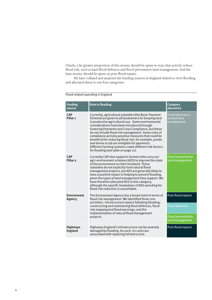Clearly, a far greater proportion of this money should be spent in ways that actively reduce flood risk, such as hard flood defences and flood preventative land management. And the least money should be spent on post-flood repairs.

We have collated and analysed the funding sources in England related to river flooding and allocated them to our four categories:

| <b>Funding</b><br>source                                                                                                                                                                                                                                                                            | <b>Role in flooding</b>                                                                                                                                                                                                                                                                                                                                                                                                                                                                                                                                                                           | <b>Category</b><br>allocation                         |
|-----------------------------------------------------------------------------------------------------------------------------------------------------------------------------------------------------------------------------------------------------------------------------------------------------|---------------------------------------------------------------------------------------------------------------------------------------------------------------------------------------------------------------------------------------------------------------------------------------------------------------------------------------------------------------------------------------------------------------------------------------------------------------------------------------------------------------------------------------------------------------------------------------------------|-------------------------------------------------------|
| <b>CAP</b><br>Pillar <sub>1</sub>                                                                                                                                                                                                                                                                   | Currently, agricultural subsidies (the Basic Payment<br>Scheme) are given to all landowners for keeping land<br>in productive agricultural use. Some environmental<br>considerations have been introduced through<br>Greening Payments and Cross Compliance, but these<br>do not include flood risk management. Some rules of<br>compliance actively penalise measures that could be<br>beneficial for reducing flood risk; for example, ponds<br>and dense scrub are ineligible for payments.<br>Different farming systems create different risk factors<br>for flooding (see table on page 12). | <b>Flood adverse or</b><br>neutral land<br>management |
| <b>CAP</b><br>Pillar <sub>2</sub>                                                                                                                                                                                                                                                                   | Currently CAP also supports farmers who carry out<br>agri-environment schemes (AES) to improve the state<br>of the environment on their farmland. These<br>subsidies do not explicitly fund natural flood<br>management projects, but AES are generally likely to<br>have a positive impact in helping to prevent flooding,<br>given the types of land management they support. We<br>have therefore allocated AES to this category,<br>although the specific breakdown of AES spending for<br>flood risk reduction is unavailable.                                                               | <b>Flood preventative</b><br>land management          |
| <b>Environment</b><br>The Environment Agency has a broad remit in terms of<br>flood risk management. We identified three core<br>Agency<br>activities: infrastructure repairs following flooding;<br>constructing and maintaining flood defences, flood<br>risk mapping and flood warnings; and the |                                                                                                                                                                                                                                                                                                                                                                                                                                                                                                                                                                                                   | Post-flood repairs<br><b>Flood defences</b>           |
|                                                                                                                                                                                                                                                                                                     | implementation of natural flood management<br>projects.                                                                                                                                                                                                                                                                                                                                                                                                                                                                                                                                           | <b>Flood preventative</b><br>land management          |
| <b>Highways</b><br><b>England</b>                                                                                                                                                                                                                                                                   | Highways England's infrastructure can be severely<br>damaged by flooding. As such, its costs are<br>associated with repairing infrastructure.                                                                                                                                                                                                                                                                                                                                                                                                                                                     | Post-flood repairs                                    |

#### Flood related spending in England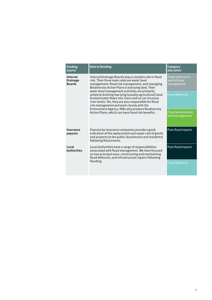| <b>Funding</b><br>source                            | <b>Role in flooding</b>                                                                                                                                                                                                                                           | Category<br>allocation                       |  |
|-----------------------------------------------------|-------------------------------------------------------------------------------------------------------------------------------------------------------------------------------------------------------------------------------------------------------------------|----------------------------------------------|--|
| <b>Internal</b><br><b>Drainage</b><br><b>Boards</b> | Internal Drainage Boards play a complex role in flood<br>risk. Their three main roles are water level<br>management; flood risk management; and managing<br>Biodiversity Action Plans in low lying land. Their<br>water level management activities are primarily |                                              |  |
|                                                     | aimed at draining low lying (usually agricultural) land.<br>Drained water flows into rivers and so can increase<br>river levels. Yet, they are also responsible for flood<br>risk management and work closely with the                                            | <b>Flood defences</b>                        |  |
|                                                     | Environment Agency. IDBs also produce Biodiversity<br>Action Plans; which can have flood risk benefits.                                                                                                                                                           | <b>Flood preventative</b><br>land management |  |
| <b>Insurance</b><br>payouts                         | Payouts by insurance companies provide a good<br>indication of the replacement and repair cost of goods<br>and property to the public (businesses and residents)<br>following flood events.                                                                       | Post-flood repairs                           |  |
| Local<br><b>Authorities</b>                         | Local Authorities have a range of responsibilities<br>associated with flood management. We have focused<br>on two principal ones: constructing and maintaining<br>flood defences, and infrastructure repairs following                                            | Post-flood repairs                           |  |
|                                                     | flooding.                                                                                                                                                                                                                                                         | <b>Flood defences</b>                        |  |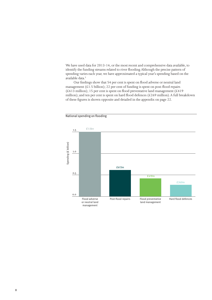We have used data for 2013-14, or the most recent and comprehensive data available, to identify the funding streams related to river flooding. Although the precise pattern of spending varies each year, we have approximated a typical year's spending based on the available data.<sup>5</sup>

Our findings show that 54 per cent is spent on flood adverse or neutral land management ( $£1.5$  billion); 22 per cent of funding is spent on post-flood repairs (£613 million); 15 per cent is spent on flood preventative land management (£419 million); and ten per cent is spent on hard flood defences (£269 million). A full breakdown of these figures is shown opposite and detailed in the appendix on page 22.



National spending on flooding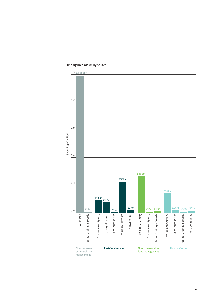

Funding breakdown by source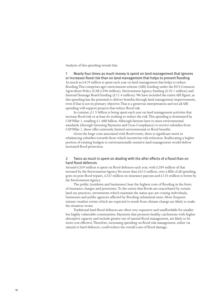Analysis of this spending reveals that:

1 Nearly four times as much money is spent on land management that ignores or increases flood risk than on land management that helps to prevent flooding As much as £419 million is spent each year on land management that helps to reduce flooding. This comprises agri-environment scheme (AES) funding under the EU's Common Agriculture Policy (CAP, £396 million), Environment Agency funding (£10.1 million) and Internal Drainage Board funding (£12.4 million). We have included the entire AES figure, as this spending has the potential to deliver benefits through land management improvements, even if that is not its primary objective. That is a generous interpretation and not all AES spending will support projects that reduce flood risk.

In contrast,  $£1.5$  billion is being spent each year on land management activities that increase flood risk or at least do nothing to reduce the risk. This spending is dominated by CAP Pillar 1, totalling  $\&1.488$  billion. Although farmers have to meet environmental standards (through Greening Payments and Cross Compliance) to receive subsidies from CAP Pillar 1, these offer extremely limited environmental or flood benefits.

Given the huge costs associated with flood events, there is significant merit in rebalancing subsidies towards those which incentivise risk reduction. Reallocating a higher portion of existing budgets to environmentally sensitive land management would deliver increased flood protection.

#### 2 Twice as much is spent on dealing with the after effects of a flood than on hard flood defences

Around £269 million is spent on flood defences each year, with £209 million of that invested by the Environment Agency. Yet more than £613 million, over a fifth of all spending, goes on post-flood repairs, £337 million on insurance payouts and £135 million is borne by the Environment Agency.

The public (residents and businesses) bear the highest costs of flooding in the form of insurance charges and premiums. To the extent that floods are exacerbated by certain land use practices, investments which maintain the status quo are costing individuals, businesses and public agencies affected by flooding substantial sums. More frequent intense weather events which are expected to result from climate change are likely to make the situation worse.

Traditional hard flood defences are often very expensive and unaffordable for smaller but highly vulnerable communities. Payments that promote healthy catchments with higher absorptive capacity and include greater use of natural flood management, are likely to be more cost effective. Therefore, increasing spending on flood risk management, either via natural or hard defences, could reduce the overall costs of flood damage.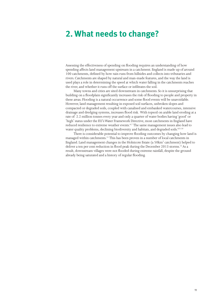## **2. What needs to change?**

Assessing the effectiveness of spending on flooding requires an understanding of how spending affects land management upstream in a catchment. England is made up of around 100 catchments, defined by how rain runs from hillsides and collects into tributaries and rivers. Catchments are shaped by natural and man-made features, and the way the land is used plays a role in determining the speed at which water falling in the catchments reaches the river, and whether it runs off the surface or infiltrates the soil.

Many towns and cities are sited downstream in catchments. So it is unsurprising that building on a floodplain significantly increases the risk of flooding to people and property in these areas. Flooding is a natural occurrence and some flood events will be unavoidable. However, land management resulting in exposed soil surfaces, unbroken slopes and compacted or degraded soils, coupled with canalised and embanked watercourses, intensive drainage and dredging systems, increases flood risk. With topsoil on arable land eroding at a rate of 2.2 million tonnes every year and only a quarter of water bodies having 'good' or 'high' status under the EU's Water Framework Directive, most catchments in England have reduced resilience to extreme weather events.<sup>6,7</sup> The same management issues also lead to water quality problems, declining biodiversity and habitats, and degraded soils.<sup>8,9,10</sup>

There is considerable potential to improve flooding outcomes by changing how land is managed within catchments.11 This has been proven in a number of local catchments in England. Land management changes in the Holnicote Estate (a 50km<sup>2</sup> catchment) helped to deliver a ten per cent reduction in flood peak during the December 2013 storms.<sup>12</sup> As a result, downstream villages were not flooded during extreme rainfall, despite the ground already being saturated and a history of regular flooding.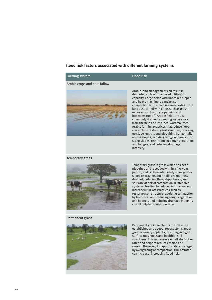#### **Flood risk factors associated with different farming systems**

### Farming system Flood risk

#### Arable crops and bare fallow



Arable land management can result in degraded soils with reduced infiltration capacity. Large fields with unbroken slopes and heavy machinery causing soil compaction both increase run-off rates. Bare land associated with crops such as maize exposes soil to surface panning and increases run-off. Arable fields are also commonly drained, speeding water away from the field and into local watercourses. Arable farming practices that reduce flood risk include restoring soil structure, breaking up slope lengths and ploughing horizontally across slopes, avoiding tillage or bare soil on steep slopes, reintroducing rough vegetation and hedges, and reducing drainage intensity.

Temporary grass is grass which has been ploughed and reseeded within a five year period, and is often intensively managed for silage or grazing. Such soils are routinely drained, reducing throughput times, and soils are at risk of compaction in intensive systems, leading to reduced infiltration and increased run-off. Practices such as

#### Temporary grass



#### Permanent grass



Permanent grassland tends to have more established and deeper root systems and a greater variety of plants, resulting in higher surface roughness and healthier soil structures. This increases rainfall absorption

restoring soil structure, avoiding compaction by livestock, reintroducing rough vegetation and hedges, and reducing drainage intensity

can all help to reduce flood risk.

rates and helps to reduce erosion and run-off. However, if inappropriately managed by overgrazing or compaction, run-off rates can increase, increasing flood risk.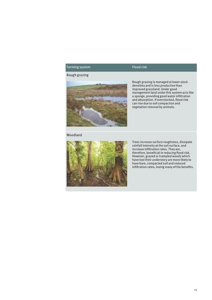#### Farming system Flood risk

#### Rough grazing



Rough grazing is managed at lower stock densities and is less productive than improved grassland. Under good management land under this system acts like a sponge, providing good water infiltration and absorption. If overstocked, flood risk can rise due to soil compaction and vegetation removal by animals.

#### Woodland



Trees increase surface roughness, dissipate rainfall intensity at the soil surface, and increase infiltration rates. They are, therefore, beneficial in reducing flood risk. However, grazed or trampled woods which have lost their understory are more likely to have bare, compacted soil and reduced infiltration rates, losing many of the benefits.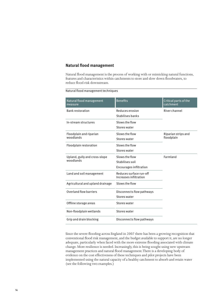#### **Natural flood management**

Natural flood management is the process of working with or mimicking natural functions, features and characteristics within catchments to store and slow down floodwaters, to reduce flood risk downstream.

| Natural flood management<br>measure | <b>Benefits</b>                                   | Critical parts of the<br>catchment |  |
|-------------------------------------|---------------------------------------------------|------------------------------------|--|
| <b>Bank restoration</b>             | Reduces erosion                                   | River channel                      |  |
|                                     | Stabilises banks                                  |                                    |  |
| In-stream structures                | Slows the flow                                    |                                    |  |
|                                     | Stores water                                      |                                    |  |
| Floodplain and riparian             | Slows the flow                                    | Riparian strips and                |  |
| woodlands                           | Stores water                                      | floodplain                         |  |
| Floodplain restoration              | Slows the flow                                    |                                    |  |
|                                     | Stores water                                      |                                    |  |
| Upland, gully and cross-slope       | Slows the flow                                    | Farmland                           |  |
| woodlands                           | Stabilises soil                                   |                                    |  |
|                                     | <b>Encourages infiltration</b>                    |                                    |  |
| Land and soil management            | Reduces surface run-off<br>Increases infiltration |                                    |  |
| Agricultural and upland drainage    | Slows the flow                                    |                                    |  |
| Overland flow barriers              | Disconnects flow pathways                         |                                    |  |
|                                     | Stores water                                      |                                    |  |
| Offline storage areas               | Stores water                                      |                                    |  |
| Non-floodplain wetlands             | Stores water                                      |                                    |  |
| Grip and drain blocking             | Disconnects flow pathways                         |                                    |  |

Natural flood management techniques

Since the severe flooding across England in 2007 there has been a growing recognition that conventional flood risk management, and the budget available to support it, are no longer adequate, particularly when faced with the more extreme flooding associated with climate change. More resilience is needed. Increasingly, this is being sought using new upstream management practices and natural flood management. There is a developing body of evidence on the cost effectiveness of these techniques and pilot projects have been implemented using the natural capacity of a healthy catchment to absorb and retain water (see the following two examples.)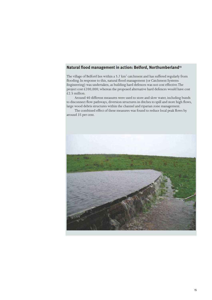#### **Natural flood management in action: Belford, Northumberland13**

The village of Belford lies within a  $5.7 \text{ km}^2$  catchment and has suffered regularly from flooding. In response to this, natural flood management (or Catchment Systems Engineering) was undertaken, as building hard defences was not cost effective. The project cost £200,000; whereas the proposed alternative hard defences would have cost  $\overline{£}$  2.5 million.

Around 40 different measures were used to store and slow water, including bunds to disconnect flow pathways, diversion structures in ditches to spill and store high flows, large wood debris structures within the channel and riparian zone management.

The combined effect of these measures was found to reduce local peak flows by around 35 per cent.

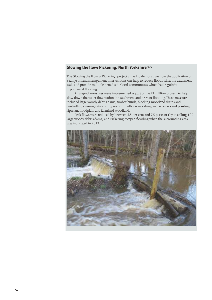#### Slowing the flow: Pickering, North Yorkshire<sup>14,15</sup>

The 'Slowing the Flow at Pickering' project aimed to demonstrate how the application of a range of land management interventions can help to reduce flood risk at the catchment scale and provide multiple benefits for local communities which had regularly experienced flooding.

A range of measures were implemented as part of the £1 million project, to help slow down the water flow within the catchment and prevent flooding. These measures included large woody debris dams, timber bunds, blocking moorland drains and controlling erosion, establishing no burn buffer zones along watercourses and planting riparian, floodplain and farmland woodland.

Peak flows were reduced by between 3.5 per cent and 7.5 per cent (by installing 100 large woody debris dams) and Pickering escaped flooding when the surrounding area was inundated in 2012.

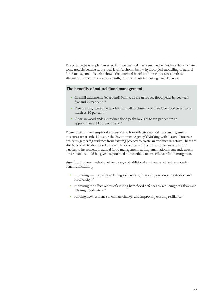The pilot projects implemented so far have been relatively small scale, but have demonstrated some notable benefits at the local level. As shown below, hydrological modelling of natural flood management has also shown the potential benefits of these measures, both as alternatives to, or in combination with, improvements to existing hard defences.

#### **The benefits of natural flood management**

- In small catchments (of around10km<sup>2</sup>), trees can reduce flood peaks by between five and 29 per cent.<sup>16</sup>
- Tree planting across the whole of a small catchment could reduce flood peaks by as much as 50 per cent.<sup>17</sup>
- Riparian woodlands can reduce flood peaks by eight to ten per cent in an approximate 69 km<sup>2</sup> catchment.<sup>18</sup>

There is still limited empirical evidence as to how effective natural flood management measures are at scale. However, the Environment Agency's Working with Natural Processes project is gathering evidence from existing projects to create an evidence directory. There are also large scale trials in development. The overall aim of the project is to overcome the barriers to investment in natural flood management, as implementation is currently much lower than it should be, given its potential to contribute to cost effective flood mitigation.

Significantly, these methods deliver a range of additional environmental and economic benefits, including:

- improving water quality, reducing soil erosion, increasing carbon sequestration and biodiversity;<sup>19</sup>
- improving the effectiveness of existing hard flood defences by reducing peak flows and delaying floodwaters;<sup>20</sup>
- building new resilience to climate change, and improving existing resilience.<sup>21</sup>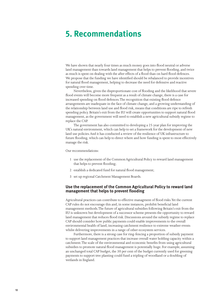## **5. Recommendations**

We have shown that nearly four times as much money goes into flood neutral or adverse land management than towards land management that helps to prevent flooding, and twice as much is spent on dealing with the after effects of a flood than on hard flood defences. We propose that the funding we have identified should be rebalanced to provide incentives for natural flood management, helping to decrease the need for defensive and reactive spending over time.

Nevertheless, given the disproportionate cost of flooding and the likelihood that severe flood events will become more frequent as a result of climate change, there is a case for increased spending on flood defences. The recognition that existing flood defence arrangements are inadequate in the face of climate change, and a growing understanding of the relationship between land use and flood risk, means that conditions are ripe to refresh spending policy. Britain's exit from the EU will create opportunities to support natural flood management, as the government will need to establish a new agricultural subsidy regime to replace the CAP.

The government has also committed to developing a 25 year plan for improving the UK's natural environment, which can help to set a framework for the development of new land use policies. And it has conducted a review of the resilience of UK infrastructure to future flooding, which can help to direct where and how funding is spent to most effectively manage the risk.

Our recommendations:

- 1 use the replacement of the Common Agricultural Policy to reward land management that helps to prevent flooding;
- 2 establish a dedicated fund for natural flood management;
- 3 set up regional Catchment Management Boards.

#### **Use the replacement of the Common Agricultural Policy to reward land management that helps to prevent flooding**

Agricultural practices can contribute to effective managment of flood risks. Yet the current CAP rules do not encourage this and, in some instances, prohibit beneficial land management methods. The future of agricultural subsidies following Britain's exit from the EU is unknown but development of a successor scheme presents the opportunity to reward land management that reduces flood risk. Discussions around the subsidy regime to replace CAP should consider how public payments could enable improvements to the overall environmental health of land, increasing catchment resilience to extreme weather events whilst delivering improvements in a range of other ecosystem services.

Furthermore, there is a strong case for ring-fencing a proportion of subsidy payment to support land management practices that increase overall water holding capacity within a catchment. The scale of the environmental and economic benefits from using agricultural subsidies to promote natural flood management is potentially huge. For example, assuming an unchanged total CAP budget, the 30 per cent of the budget currently used for greening payments to support tree planting could fund a tripling of woodland or a doubling of wetlands in England.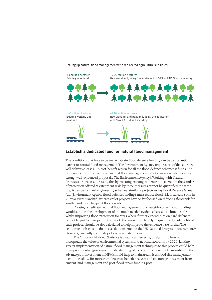#### Scaling up natural flood management with redirected agriculture subsidies



#### **Establish a dedicated fund for natural flood management**

The conditions that have to be met to obtain flood defence funding can be a substantial barrier to natural flood management. The Environment Agency requires proof that a project will deliver at least a 1:8 cost-benefit return for all the flood defence schemes it funds. The evidence of the effectiveness of natural flood management is not always available to support strong, well-evidenced proposals. The Environment Agency's Working with Natural Processes project is addressing this by collating existing evidence but, currently, the standard of protection offered at catchment scale by these measures cannot be quantified the same way it can be for hard engineering schemes. Similarly, projects using Flood Defence Grant in Aid (Environment Agency flood defence funding) must reduce flood risk to at least a one in 20 year event standard, whereas pilot projects have so far focused on reducing flood risk for smaller and more frequent flood events.

Creating a dedicated natural flood management fund outside conventional funding would support the development of the much needed evidence base at catchment scale, whilst improving flood protection for areas where further expenditure on hard defences cannot be justified. As part of this work, the known, yet largely unquantified, co-benefits of such projects should be also calculated to help improve the evidence base further. The economic tools exist to do this, as demonstrated in the UK National Ecosystem Assessment.<sup>22</sup> However, currently the quality of available data is poor.

The Office for National Statistics is already undertaking analysis into how to incorporate the value of environmental systems into national accounts by 2020. Linking greater implementation of natural flood management techniques to this process could help to improve central government understanding of its economic benefits. Demonstrating the advantages of investment in NFM should help to mainstream it as flood risk management technique, allow for more complete cost-benefit analyses and encourage investment from current land management and post-flood repair funding pots.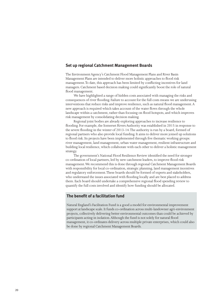#### **Set up regional Catchment Management Boards**

The Environment Agency's Catchment Flood Management Plans and River Basin Management Plans are intended to deliver more holistic approaches to flood risk management. To date, this approach has been limited by conflicting incentives for land managers. Catchment based decision making could significantly boost the role of natural flood management.

We have highlighted a range of hidden costs associated with managing the risks and consequences of river flooding. Failure to account for the full costs means we are underusing interventions that reduce risks and improve resilience, such as natural flood management. A new approach is required which takes account of the water flows through the whole landscape within a catchment, rather than focusing on flood hotspots, and which improves risk management by consolidating decision making.

Regional joint bodies are already exploring approaches to increase resilience to flooding. For example, the Somerset Rivers Authority was established in 2015 in response to the severe flooding in the winter of 2013-14. The authority is run by a board, formed of regional partners who also provide local funding. It aims to deliver more joined up solutions to flood risk. Its projects have been implemented through five thematic working groups: river management, land management, urban water management, resilient infrastructure and building local resilience, which collaborate with each other to deliver a holistic management strategy.

The government's National Flood Resilience Review identified the need for stronger co-ordination of local partners, led by new catchment leaders, to improve flood risk management. We recommend this is done through regional Catchment Management Boards with responsibility for local co-ordination, strategic planning, land management incentives and regulatory enforcement. These boards should be formed of experts and stakeholders, who understand the issues associated with flooding locally and are best placed to address them. Each board should undertake a comprehensive regional flood spending review to quantify the full costs involved and identify how funding should be allocated.

#### **The benefit of a facilitation fund**

Natural England's Facilitation Fund is a good a model for environmental improvement support at landscape scale. It funds co-ordination across multi-landowner agri-environment projects, collectively delivering better environmental outcomes than could be achieved by participants acting in isolation. Although the fund is not solely for natural flood management, it co-ordinates delivery across multiple private enterprises, which could also be done by regional Catchment Management Boards.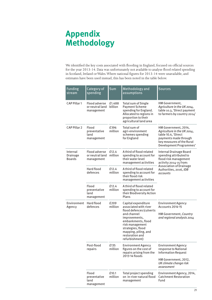## **Appendix Methodology**

We identified the key costs associated with flooding in England, focused on official sources for the year 2013-14. Data was unfortunately not available to analyse flood related spending in Scotland, Ireland or Wales. Where national figures for 2013-14 were unavailable, and estimates have been used instead, this has been noted in the table below.

| <b>Funding</b><br>stream              | Category of<br>spending                               | Sum               | Methodology and<br>assumptions                                                                                                                                                                                                      | <b>Sources</b>                                                                                                                                                               |
|---------------------------------------|-------------------------------------------------------|-------------------|-------------------------------------------------------------------------------------------------------------------------------------------------------------------------------------------------------------------------------------|------------------------------------------------------------------------------------------------------------------------------------------------------------------------------|
| CAP Pillar 1                          | <b>Flood adverse</b><br>or neutral land<br>management | £1.488<br>billion | <b>Total sum of Single</b><br><b>Payment Scheme</b><br>spending for England.<br>Allocated to regions in<br>proportion to their<br>agricultural land area                                                                            | HM Government,<br>Agriculture in the UK 2014,<br>table 10.3, 'Direct payment<br>to farmers by country 2014'                                                                  |
| CAP Pillar 2                          | Flood<br>preventative<br>land<br>management           | £396<br>million   | Total sum of<br>agri-environment<br>schemes spending<br>for England                                                                                                                                                                 | HM Government, 2014,<br>Agriculture in the UK 2014,<br>table 10.4, 'Direct<br>payments made through<br>key measures of the Rural<br>Development Programmes'                  |
| Internal<br>Drainage<br><b>Boards</b> | <b>Flood adverse</b><br>or neutral land<br>management | £12.4<br>million  | A third of flood related<br>spending to account for<br>their water level<br>management activities                                                                                                                                   | Internal Drainage Board<br>spending attributed to<br>flood risk management<br>activity 2014-15 from:<br><b>Association of Drainage</b><br>Authorities, 2016, IDB<br>accounts |
|                                       | Hard flood<br>defences                                | £12.4<br>million  | A third of flood related<br>spending to account for<br>their flood risk<br>management activities                                                                                                                                    |                                                                                                                                                                              |
|                                       | Flood<br>preventative<br>land<br>management           | £12.4<br>million  | A third of flood related<br>spending to account for<br>their Biodiversity Action<br>Plans                                                                                                                                           |                                                                                                                                                                              |
| Environment<br>Agency                 | Hard flood<br>defences                                | £209<br>million   | Capital expenditure<br>associated with river<br>flood defences (culverts<br>and channel<br>improvements,<br>embankments, flood<br>risk management<br>strategies, flood<br>mapping, piling, and<br>restoration and<br>refurbishment) | <b>Environment Agency</b><br><b>Accounts 2014-15</b><br>HM Government, Country<br>and regional analysis 2014                                                                 |
|                                       | Post-flood<br>repairs                                 | £135<br>million   | <b>Environment Agency</b><br>figures on the cost of<br>repairs arising from the<br>2013-14 floods                                                                                                                                   | <b>Environment Agency</b><br>response to National<br><b>Information Request</b><br>HM Government, 2012,<br>UK climate change risk<br>assessment                              |
|                                       | Flood<br>preventative<br>land<br>management           | £10.1<br>million  | Total project spending<br>on in-river natural flood<br>management                                                                                                                                                                   | Environment Agency, 2014,<br><b>Catchment Restoration</b><br>Fund                                                                                                            |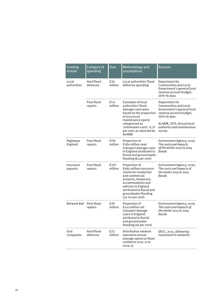| <b>Funding</b><br>stream   | Category of<br>spending | Sum             | Methodology and<br>assumptions                                                                                                                                                                                                    | <b>Sources</b>                                                                                                                                                                              |
|----------------------------|-------------------------|-----------------|-----------------------------------------------------------------------------------------------------------------------------------------------------------------------------------------------------------------------------------|---------------------------------------------------------------------------------------------------------------------------------------------------------------------------------------------|
| Local<br>authorities       | Hard flood<br>defences  | f26<br>million  | Local authorities' flood<br>defences spending                                                                                                                                                                                     | Department for<br><b>Communities and Local</b><br>Government's general fund<br>revenue account budget,<br>2015-16 data                                                                      |
|                            | Post-flood<br>repairs   | £1.6<br>million | <b>Estimates of local</b><br>authorities' flood<br>damage costs were<br>based on the proportion<br>of structural<br>maintenance spend<br>categorised as<br>'unforeseen costs', 0.31<br>per cent, as reported by<br><b>ALARM</b>   | Department for<br><b>Communities and Local</b><br>Government's general fund<br>revenue account budget,<br>2015-16 data<br>ALARM, 2015, Annual local<br>authority road maintenance<br>survey |
| <b>Highways</b><br>England | Post-flood<br>repairs   | £110<br>million | Proportion of<br>£180 million road<br>transport damage costs<br>in England attributed to<br>fluvial and ground water<br>flooding (61 per cent)                                                                                    | Environment Agency, 2016,<br>The costs and impacts<br>of the winter 2013 to 2014<br>floods                                                                                                  |
| Insurance<br>payouts       | Post-flood<br>repairs   | £337<br>million | Proportion of<br>£665 million insurance<br>claims for residential<br>and commercial<br>property, temporary<br>accommodation and<br>vehicles in England<br>attributed to fluvial and<br>groundwater flooding<br>$(37-60$ per cent) | Environment Agency, 2016,<br>The costs and impacts of<br>the winter 2013 to 2014<br>floods                                                                                                  |
| Network Rail Post-flood    | repairs                 | £29<br>million  | Proportion of<br>£110 million rail<br>transport damage<br>costs in England<br>attributed to fluvial<br>and ground water<br>flooding (26 per cent)                                                                                 | Environment Agency, 2016,<br>The costs and impacts of<br>the winter 2013 to 2014<br>floods                                                                                                  |
| Grid<br>companies          | Hard flood<br>defences  | £22<br>million  | Distribution network<br>operators annual<br>average spend on flood<br>resilience 2010-11 to<br>2014-15                                                                                                                            | DECC, 2015, Delivering<br>investment in networks                                                                                                                                            |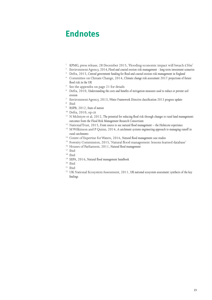## **Endnotes**

- <sup>1</sup> KPMG, press release, 28 December 2015, 'Flooding economic impact will breach £5bn'
- <sup>2</sup> Environment Agency, 2014, Flood and coastal erosion risk management long term investment scenarios
- <sup>3</sup> Defra, 2015, *Central government funding for flood and coastal erosion risk management in England*
- <sup>4</sup> Committee on Climate Change, 2014, *Climate change risk assessment 2017: projections of future flood risk in the UK*
- <sup>5</sup> See the appendix on page 21 for details
- <sup>6</sup> Defra, 2010, *Understanding the costs and benefits of mitigation measures used to reduce or prevent soil erosion*
- <sup>7</sup> Environment Agency, 2013, *Water Framework Directive classification 2013 progress update*
- 8 Ibid
- 9 RSPB, 2012, *State of nature*
- 10 Defra, 2010, op cit
- <sup>11</sup> N McIntyre et al, 2012, The potential for reducing flood risk through changes to rural land management: *outcomes from the Flood Risk Management Research Consortium*
- <sup>12</sup> National Trust, 2015, *From source to sea: natural flood management the Holnicote experience*
- <sup>13</sup> M Wilkinson and P Quinn, 2014, *A* catchment systems engineering approach to managing runoff in *rural catchments*
- <sup>14</sup> Centre of Expertise for Waters, 2016, *Natural flood management case studies*
- <sup>15</sup> Forestry Commission, 2015, 'Natural flood management: lessons learned database'
- <sup>16</sup> Houses of Parliament, 2011, *Natural flood management*
- <sup>17</sup> Ibid
- 18 Ibid
- <sup>19</sup> SEPA, 2016, *Natural flood management handbook*
- $20$  Ibid
- $21$  Ibid
- <sup>22</sup> UK National Ecosystem Assessment, 2011, *UK national ecosystem assessment: synthesis of the key findings*